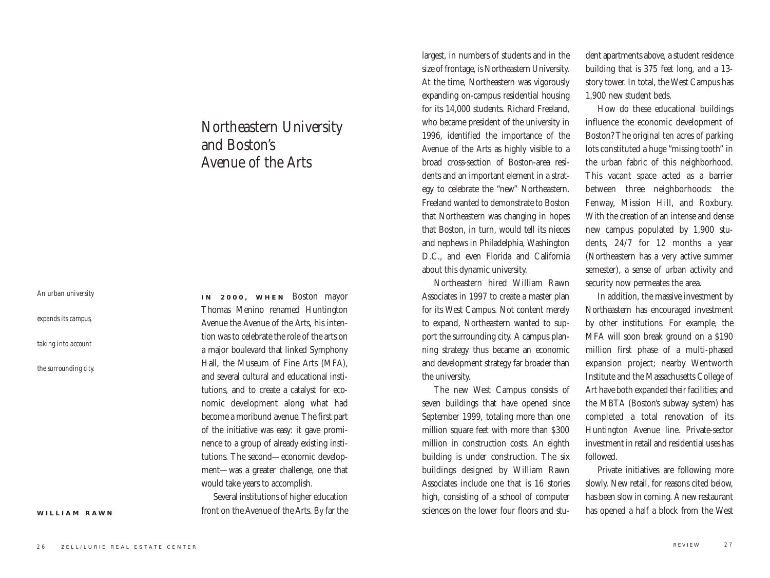*An urban university* 

*expands its campus,* 

*taking into account* 

*the surrounding city.*

**WILLIAM RAWN**

## Northeastern University and Boston's Avenue of the Arts

**IN 2000, WHEN** Boston mayor Thomas Menino renamed Huntington Avenue the Avenue of the Arts, his intention was to celebrate the role of the arts on a major boulevard that linked Symphony Hall, the Museum of Fine Arts (MFA), and several cultural and educational institutions, and to create a catalyst for economic development along what had become a moribund avenue. The first part of the initiative was easy: it gave prominence to a group of already existing institutions. The second—economic development—was a greater challenge, one that would take years to accomplish.

> Several institutions of higher education front on the Avenue of the Arts. By far the

largest, in numbers of students and in the size of frontage, is Northeastern University. At the time, Northeastern was vigorously expanding on-campus residential housing for its 14,000 students. Richard Freeland, who became president of the university in 1996, identified the importance of the Avenue of the Arts as highly visible to a broad cross-section of Boston-area residents and an important element in a strategy to celebrate the "new" Northeastern. Freeland wanted to demonstrate to Boston that Northeastern was changing in hopes that Boston, in turn, would tell its nieces and nephews in Philadelphia, Washington D.C., and even Florida and California about this dynamic university.

Northeastern hired William Rawn Associates in 1997 to create a master plan for its West Campus. Not content merely to expand, Northeastern wanted to support the surrounding city. A campus planning strategy thus became an economic and development strategy far broader than the university.

The new West Campus consists of seven buildings that have opened since September 1999, totaling more than one million square feet with more than \$300 million in construction costs. An eighth building is under construction. The six buildings designed by William Rawn Associates include one that is 16 stories high, consisting of a school of computer sciences on the lower four floors and student apartments above, a student residence building that is 375 feet long, and a 13 story tower. In total, the West Campus has 1,900 new student beds.

How do these educational buildings influence the economic development of Boston? The original ten acres of parking lots constituted a huge "missing tooth" in the urban fabric of this neighborhood. This vacant space acted as a barrier between three neighborhoods: the Fenway, Mission Hill, and Roxbury. With the creation of an intense and dense new campus populated by 1,900 students, 24/7 for 12 months a year (Northeastern has a very active summer semester), a sense of urban activity and security now permeates the area.

In addition, the massive investment by Northeastern has encouraged investment by other institutions. For example, the MFA will soon break ground on a \$190 million first phase of a multi-phased expansion project; nearby Wentworth Institute and the Massachusetts College of Art have both expanded their facilities; and the MBTA (Boston's subway system) has completed a total renovation of its Huntington Avenue line. Private-sector investment in retail and residential uses has followed.

Private initiatives are following more slowly. New retail, for reasons cited below, has been slow in coming. A new restaurant has opened a half a block from the West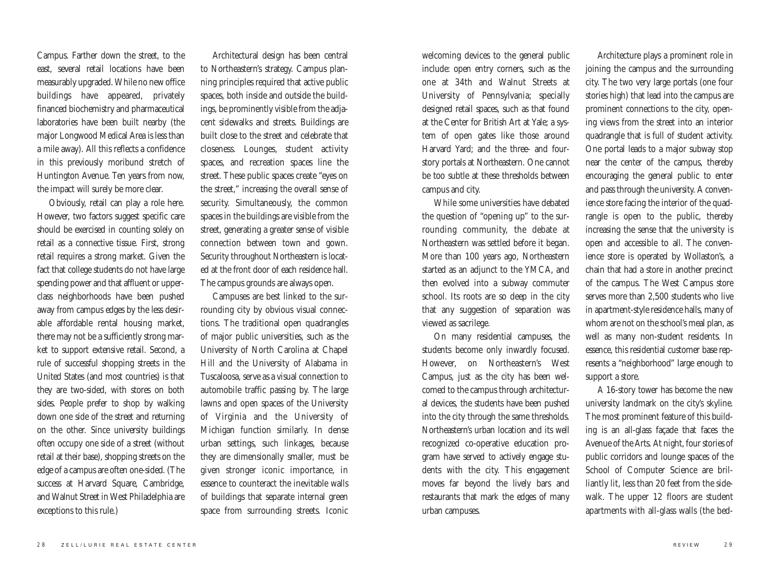Campus. Farther down the street, to the east, several retail locations have been measurably upgraded. While no new office buildings have appeared, privately financed biochemistry and pharmaceutical laboratories have been built nearby (the major Longwood Medical Area is less than a mile away). All this reflects a confidence in this previously moribund stretch of Huntington Avenue. Ten years from now, the impact will surely be more clear.

Obviously, retail can play a role here. However, two factors suggest specific care should be exercised in counting solely on retail as a connective tissue. First, strong retail requires a strong market. Given the fact that college students do not have large spending power and that affluent or upperclass neighborhoods have been pushed away from campus edges by the less desirable affordable rental housing market, there may not be a sufficiently strong market to support extensive retail. Second, a rule of successful shopping streets in the United States (and most countries) is that they are two-sided, with stores on both sides. People prefer to shop by walking down one side of the street and returning on the other. Since university buildings often occupy one side of a street (without retail at their base), shopping streets on the edge of a campus are often one-sided. (The success at Harvard Square, Cambridge, and Walnut Street in West Philadelphia are exceptions to this rule.)

Architectural design has been central to Northeastern's strategy. Campus planning principles required that active public spaces, both inside and outside the buildings, be prominently visible from the adjacent sidewalks and streets. Buildings are built close to the street and celebrate that closeness. Lounges, student activity spaces, and recreation spaces line the street. These public spaces create "eyes on the street," increasing the overall sense of security. Simultaneously, the common spaces in the buildings are visible from the street, generating a greater sense of visible connection between town and gown. Security throughout Northeastern is located at the front door of each residence hall. The campus grounds are always open.

Campuses are best linked to the surrounding city by obvious visual connections. The traditional open quadrangles of major public universities, such as the University of North Carolina at Chapel Hill and the University of Alabama in Tuscaloosa, serve as a visual connection to automobile traffic passing by. The large lawns and open spaces of the University of Virginia and the University of Michigan function similarly. In dense urban settings, such linkages, because they are dimensionally smaller, must be given stronger iconic importance, in essence to counteract the inevitable walls of buildings that separate internal green space from surrounding streets. Iconic

welcoming devices to the general public include: open entry corners, such as the one at 34th and Walnut Streets at University of Pennsylvania; specially designed retail spaces, such as that found at the Center for British Art at Yale; a system of open gates like those around Harvard Yard; and the three- and fourstory portals at Northeastern. One cannot be too subtle at these thresholds between campus and city.

While some universities have debated the question of "opening up" to the surrounding community, the debate at Northeastern was settled before it began. More than 100 years ago, Northeastern started as an adjunct to the YMCA, and then evolved into a subway commuter school. Its roots are so deep in the city that any suggestion of separation was viewed as sacrilege.

On many residential campuses, the students become only inwardly focused. However, on Northeastern's West Campus, just as the city has been welcomed to the campus through architectural devices, the students have been pushed into the city through the same thresholds. Northeastern's urban location and its well recognized co-operative education program have served to actively engage students with the city. This engagement moves far beyond the lively bars and restaurants that mark the edges of many urban campuses.

Architecture plays a prominent role in joining the campus and the surrounding city. The two very large portals (one four stories high) that lead into the campus are prominent connections to the city, opening views from the street into an interior quadrangle that is full of student activity. One portal leads to a major subway stop near the center of the campus, thereby encouraging the general public to enter and pass through the university. A convenience store facing the interior of the quadrangle is open to the public, thereby increasing the sense that the university is open and accessible to all. The convenience store is operated by Wollaston's, a chain that had a store in another precinct of the campus. The West Campus store serves more than 2,500 students who live in apartment-style residence halls, many of whom are not on the school's meal plan, as well as many non-student residents. In essence, this residential customer base represents a "neighborhood" large enough to support a store.

A 16-story tower has become the new university landmark on the city's skyline. The most prominent feature of this building is an all-glass façade that faces the Avenue of the Arts. At night, four stories of public corridors and lounge spaces of the School of Computer Science are brilliantly lit, less than 20 feet from the sidewalk. The upper 12 floors are student apartments with all-glass walls (the bed-